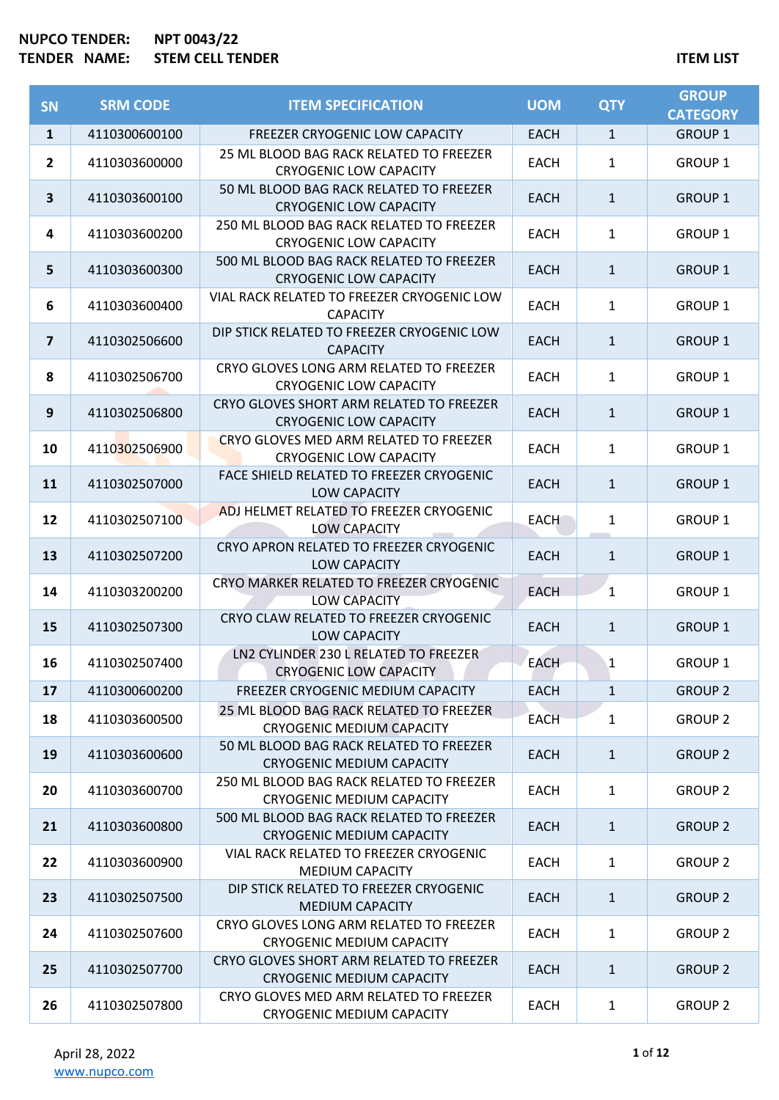| <b>SN</b>               | <b>SRM CODE</b> | <b>ITEM SPECIFICATION</b>                                                    | <b>UOM</b>  | <b>QTY</b>   | <b>GROUP</b><br><b>CATEGORY</b> |
|-------------------------|-----------------|------------------------------------------------------------------------------|-------------|--------------|---------------------------------|
| $\mathbf{1}$            | 4110300600100   | FREEZER CRYOGENIC LOW CAPACITY                                               | <b>EACH</b> | $\mathbf{1}$ | <b>GROUP 1</b>                  |
| $\overline{2}$          | 4110303600000   | 25 ML BLOOD BAG RACK RELATED TO FREEZER<br><b>CRYOGENIC LOW CAPACITY</b>     | <b>EACH</b> | $\mathbf{1}$ | <b>GROUP 1</b>                  |
| 3                       | 4110303600100   | 50 ML BLOOD BAG RACK RELATED TO FREEZER<br><b>CRYOGENIC LOW CAPACITY</b>     | <b>EACH</b> | $\mathbf{1}$ | <b>GROUP 1</b>                  |
| 4                       | 4110303600200   | 250 ML BLOOD BAG RACK RELATED TO FREEZER<br><b>CRYOGENIC LOW CAPACITY</b>    | <b>EACH</b> | $\mathbf{1}$ | <b>GROUP 1</b>                  |
| 5                       | 4110303600300   | 500 ML BLOOD BAG RACK RELATED TO FREEZER<br><b>CRYOGENIC LOW CAPACITY</b>    | <b>EACH</b> | $\mathbf{1}$ | <b>GROUP 1</b>                  |
| 6                       | 4110303600400   | VIAL RACK RELATED TO FREEZER CRYOGENIC LOW<br><b>CAPACITY</b>                | <b>EACH</b> | $\mathbf{1}$ | <b>GROUP 1</b>                  |
| $\overline{\mathbf{z}}$ | 4110302506600   | DIP STICK RELATED TO FREEZER CRYOGENIC LOW<br><b>CAPACITY</b>                | <b>EACH</b> | $\mathbf{1}$ | <b>GROUP 1</b>                  |
| 8                       | 4110302506700   | CRYO GLOVES LONG ARM RELATED TO FREEZER<br><b>CRYOGENIC LOW CAPACITY</b>     | <b>EACH</b> | $\mathbf{1}$ | <b>GROUP 1</b>                  |
| 9                       | 4110302506800   | CRYO GLOVES SHORT ARM RELATED TO FREEZER<br><b>CRYOGENIC LOW CAPACITY</b>    | <b>EACH</b> | $\mathbf{1}$ | <b>GROUP 1</b>                  |
| 10                      | 4110302506900   | CRYO GLOVES MED ARM RELATED TO FREEZER<br><b>CRYOGENIC LOW CAPACITY</b>      | <b>EACH</b> | $\mathbf{1}$ | <b>GROUP 1</b>                  |
| <b>11</b>               | 4110302507000   | FACE SHIELD RELATED TO FREEZER CRYOGENIC<br>LOW CAPACITY                     | <b>EACH</b> | $\mathbf{1}$ | <b>GROUP 1</b>                  |
| 12                      | 4110302507100   | ADJ HELMET RELATED TO FREEZER CRYOGENIC<br><b>LOW CAPACITY</b>               | EACH        | $\mathbf{1}$ | <b>GROUP 1</b>                  |
| 13                      | 4110302507200   | CRYO APRON RELATED TO FREEZER CRYOGENIC<br>LOW CAPACITY                      | <b>EACH</b> | $\mathbf{1}$ | <b>GROUP 1</b>                  |
| 14                      | 4110303200200   | CRYO MARKER RELATED TO FREEZER CRYOGENIC<br>LOW CAPACITY                     | <b>EACH</b> | $\mathbf{1}$ | <b>GROUP 1</b>                  |
| 15                      | 4110302507300   | CRYO CLAW RELATED TO FREEZER CRYOGENIC<br><b>LOW CAPACITY</b>                | <b>EACH</b> | $\mathbf{1}$ | <b>GROUP 1</b>                  |
| 16                      | 4110302507400   | LN2 CYLINDER 230 L RELATED TO FREEZER<br><b>CRYOGENIC LOW CAPACITY</b>       | <b>EACH</b> | $\mathbf{1}$ | <b>GROUP 1</b>                  |
| 17                      | 4110300600200   | FREEZER CRYOGENIC MEDIUM CAPACITY                                            | <b>EACH</b> | $\mathbf{1}$ | <b>GROUP 2</b>                  |
| 18                      | 4110303600500   | 25 ML BLOOD BAG RACK RELATED TO FREEZER<br><b>CRYOGENIC MEDIUM CAPACITY</b>  | <b>EACH</b> | $\mathbf{1}$ | <b>GROUP 2</b>                  |
| 19                      | 4110303600600   | 50 ML BLOOD BAG RACK RELATED TO FREEZER<br><b>CRYOGENIC MEDIUM CAPACITY</b>  | <b>EACH</b> | $\mathbf{1}$ | <b>GROUP 2</b>                  |
| 20                      | 4110303600700   | 250 ML BLOOD BAG RACK RELATED TO FREEZER<br><b>CRYOGENIC MEDIUM CAPACITY</b> | EACH        | $\mathbf{1}$ | <b>GROUP 2</b>                  |
| 21                      | 4110303600800   | 500 ML BLOOD BAG RACK RELATED TO FREEZER<br><b>CRYOGENIC MEDIUM CAPACITY</b> | EACH        | $\mathbf{1}$ | <b>GROUP 2</b>                  |
| 22                      | 4110303600900   | VIAL RACK RELATED TO FREEZER CRYOGENIC<br><b>MEDIUM CAPACITY</b>             | <b>EACH</b> | $\mathbf{1}$ | <b>GROUP 2</b>                  |
| 23                      | 4110302507500   | DIP STICK RELATED TO FREEZER CRYOGENIC<br><b>MEDIUM CAPACITY</b>             | <b>EACH</b> | $\mathbf{1}$ | <b>GROUP 2</b>                  |
| 24                      | 4110302507600   | CRYO GLOVES LONG ARM RELATED TO FREEZER<br><b>CRYOGENIC MEDIUM CAPACITY</b>  | EACH        | $\mathbf{1}$ | <b>GROUP 2</b>                  |
| 25                      | 4110302507700   | CRYO GLOVES SHORT ARM RELATED TO FREEZER<br><b>CRYOGENIC MEDIUM CAPACITY</b> | EACH        | $\mathbf{1}$ | <b>GROUP 2</b>                  |
| 26                      | 4110302507800   | CRYO GLOVES MED ARM RELATED TO FREEZER<br><b>CRYOGENIC MEDIUM CAPACITY</b>   | <b>EACH</b> | $\mathbf{1}$ | <b>GROUP 2</b>                  |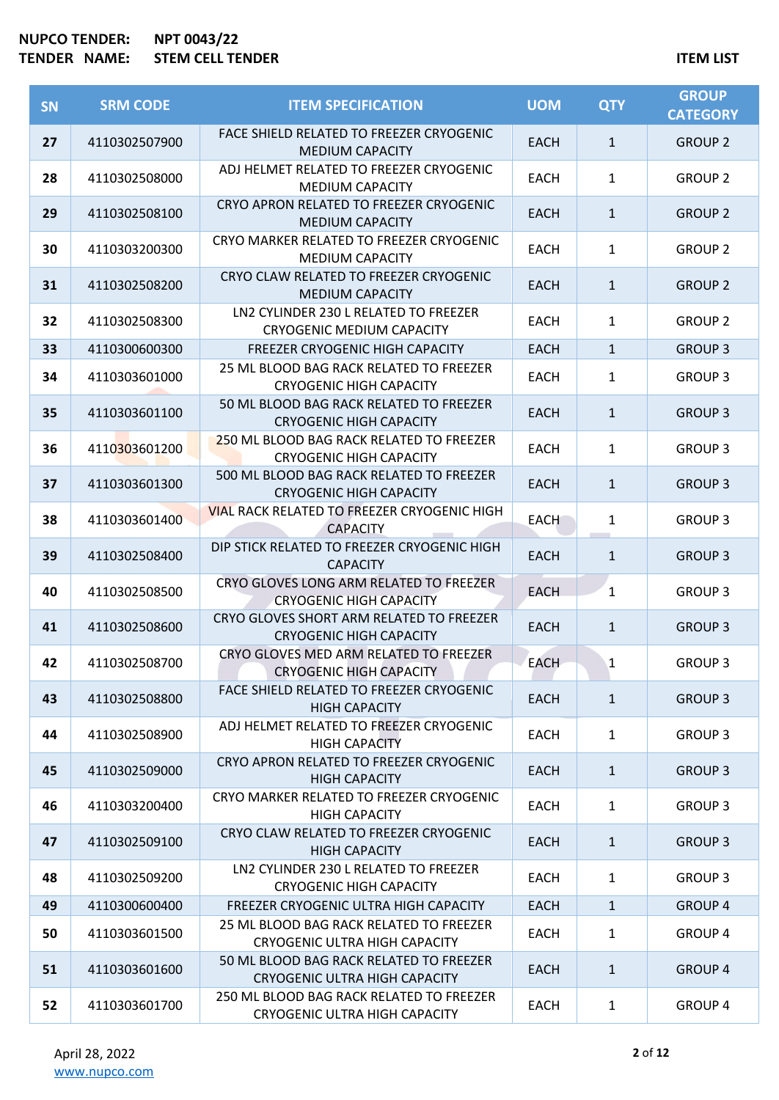| <b>SN</b> | <b>SRM CODE</b> | <b>ITEM SPECIFICATION</b>                                                        | <b>UOM</b>  | <b>QTY</b>   | <b>GROUP</b><br><b>CATEGORY</b> |
|-----------|-----------------|----------------------------------------------------------------------------------|-------------|--------------|---------------------------------|
| 27        | 4110302507900   | FACE SHIELD RELATED TO FREEZER CRYOGENIC<br><b>MEDIUM CAPACITY</b>               | <b>EACH</b> | $\mathbf{1}$ | <b>GROUP 2</b>                  |
| 28        | 4110302508000   | ADJ HELMET RELATED TO FREEZER CRYOGENIC<br><b>MEDIUM CAPACITY</b>                | <b>EACH</b> | $\mathbf{1}$ | <b>GROUP 2</b>                  |
| 29        | 4110302508100   | CRYO APRON RELATED TO FREEZER CRYOGENIC<br><b>MEDIUM CAPACITY</b>                | <b>EACH</b> | $\mathbf{1}$ | <b>GROUP 2</b>                  |
| 30        | 4110303200300   | CRYO MARKER RELATED TO FREEZER CRYOGENIC<br><b>MEDIUM CAPACITY</b>               | <b>EACH</b> | $\mathbf{1}$ | <b>GROUP 2</b>                  |
| 31        | 4110302508200   | CRYO CLAW RELATED TO FREEZER CRYOGENIC<br><b>MEDIUM CAPACITY</b>                 | <b>EACH</b> | $\mathbf{1}$ | <b>GROUP 2</b>                  |
| 32        | 4110302508300   | LN2 CYLINDER 230 L RELATED TO FREEZER<br><b>CRYOGENIC MEDIUM CAPACITY</b>        | <b>EACH</b> | $\mathbf{1}$ | <b>GROUP 2</b>                  |
| 33        | 4110300600300   | FREEZER CRYOGENIC HIGH CAPACITY                                                  | <b>EACH</b> | $\mathbf{1}$ | <b>GROUP 3</b>                  |
| 34        | 4110303601000   | 25 ML BLOOD BAG RACK RELATED TO FREEZER<br><b>CRYOGENIC HIGH CAPACITY</b>        | <b>EACH</b> | $\mathbf{1}$ | <b>GROUP 3</b>                  |
| 35        | 4110303601100   | 50 ML BLOOD BAG RACK RELATED TO FREEZER<br><b>CRYOGENIC HIGH CAPACITY</b>        | <b>EACH</b> | $\mathbf{1}$ | <b>GROUP 3</b>                  |
| 36        | 4110303601200   | 250 ML BLOOD BAG RACK RELATED TO FREEZER<br><b>CRYOGENIC HIGH CAPACITY</b>       | <b>EACH</b> | $\mathbf{1}$ | <b>GROUP 3</b>                  |
| 37        | 4110303601300   | 500 ML BLOOD BAG RACK RELATED TO FREEZER<br><b>CRYOGENIC HIGH CAPACITY</b>       | <b>EACH</b> | $\mathbf{1}$ | <b>GROUP 3</b>                  |
| 38        | 4110303601400   | <b>VIAL RACK RELATED TO FREEZER CRYOGENIC HIGH</b><br><b>CAPACITY</b>            | <b>EACH</b> | $\mathbf{1}$ | <b>GROUP 3</b>                  |
| 39        | 4110302508400   | DIP STICK RELATED TO FREEZER CRYOGENIC HIGH<br><b>CAPACITY</b>                   | <b>EACH</b> | $\mathbf{1}$ | <b>GROUP 3</b>                  |
| 40        | 4110302508500   | CRYO GLOVES LONG ARM RELATED TO FREEZER<br><b>CRYOGENIC HIGH CAPACITY</b>        | <b>EACH</b> | $\mathbf{1}$ | <b>GROUP 3</b>                  |
| 41        | 4110302508600   | CRYO GLOVES SHORT ARM RELATED TO FREEZER<br><b>CRYOGENIC HIGH CAPACITY</b>       | <b>EACH</b> | $\mathbf{1}$ | <b>GROUP 3</b>                  |
| 42        | 4110302508700   | CRYO GLOVES MED ARM RELATED TO FREEZER<br><b>CRYOGENIC HIGH CAPACITY</b>         | <b>EACH</b> | $\mathbf{1}$ | <b>GROUP 3</b>                  |
| 43        | 4110302508800   | FACE SHIELD RELATED TO FREEZER CRYOGENIC<br><b>HIGH CAPACITY</b>                 | <b>EACH</b> | $\mathbf{1}$ | <b>GROUP 3</b>                  |
| 44        | 4110302508900   | ADJ HELMET RELATED TO FREEZER CRYOGENIC<br><b>HIGH CAPACITY</b>                  | EACH        | $\mathbf{1}$ | <b>GROUP 3</b>                  |
| 45        | 4110302509000   | CRYO APRON RELATED TO FREEZER CRYOGENIC<br><b>HIGH CAPACITY</b>                  | <b>EACH</b> | $\mathbf{1}$ | <b>GROUP 3</b>                  |
| 46        | 4110303200400   | CRYO MARKER RELATED TO FREEZER CRYOGENIC<br><b>HIGH CAPACITY</b>                 | <b>EACH</b> | $\mathbf{1}$ | <b>GROUP 3</b>                  |
| 47        | 4110302509100   | CRYO CLAW RELATED TO FREEZER CRYOGENIC<br><b>HIGH CAPACITY</b>                   | EACH        | $\mathbf{1}$ | <b>GROUP 3</b>                  |
| 48        | 4110302509200   | LN2 CYLINDER 230 L RELATED TO FREEZER<br><b>CRYOGENIC HIGH CAPACITY</b>          | EACH        | $\mathbf{1}$ | <b>GROUP 3</b>                  |
| 49        | 4110300600400   | FREEZER CRYOGENIC ULTRA HIGH CAPACITY                                            | <b>EACH</b> | $\mathbf{1}$ | <b>GROUP 4</b>                  |
| 50        | 4110303601500   | 25 ML BLOOD BAG RACK RELATED TO FREEZER<br>CRYOGENIC ULTRA HIGH CAPACITY         | EACH        | $\mathbf{1}$ | <b>GROUP 4</b>                  |
| 51        | 4110303601600   | 50 ML BLOOD BAG RACK RELATED TO FREEZER<br><b>CRYOGENIC ULTRA HIGH CAPACITY</b>  | EACH        | $\mathbf{1}$ | <b>GROUP 4</b>                  |
| 52        | 4110303601700   | 250 ML BLOOD BAG RACK RELATED TO FREEZER<br><b>CRYOGENIC ULTRA HIGH CAPACITY</b> | <b>EACH</b> | $\mathbf{1}$ | GROUP 4                         |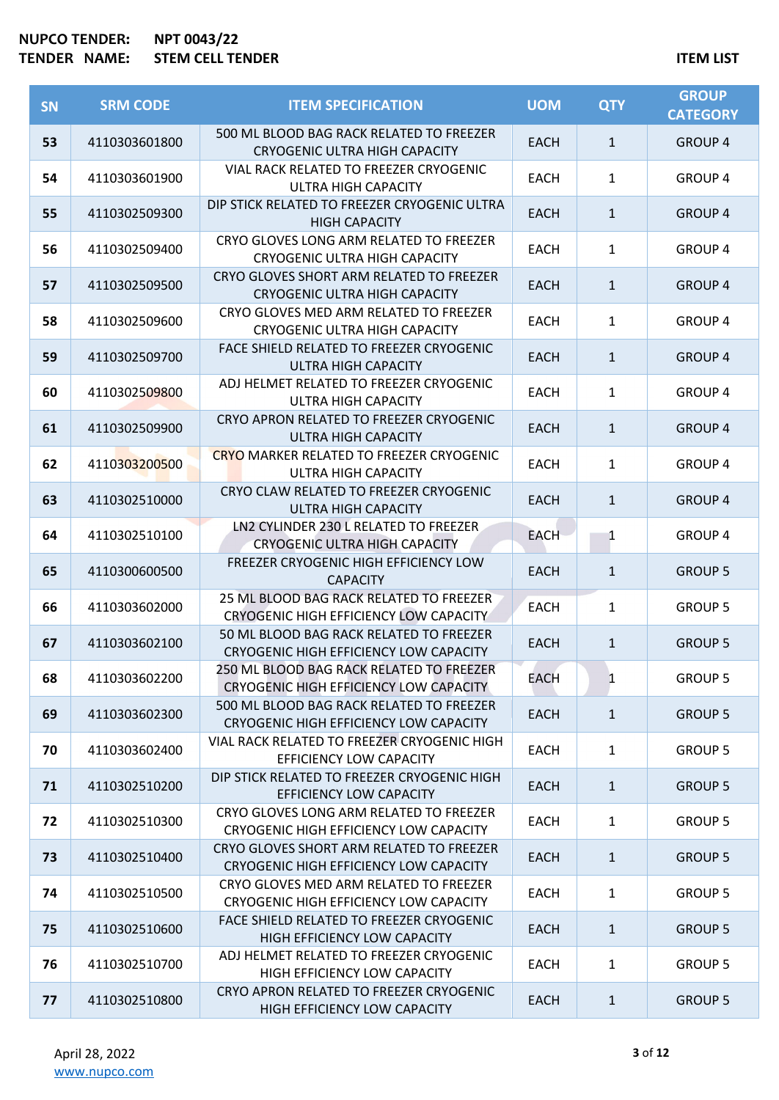| <b>SN</b> | <b>SRM CODE</b> | <b>ITEM SPECIFICATION</b>                                                          | <b>UOM</b>  | <b>QTY</b>   | <b>GROUP</b><br><b>CATEGORY</b> |
|-----------|-----------------|------------------------------------------------------------------------------------|-------------|--------------|---------------------------------|
| 53        | 4110303601800   | 500 ML BLOOD BAG RACK RELATED TO FREEZER<br><b>CRYOGENIC ULTRA HIGH CAPACITY</b>   | <b>EACH</b> | $\mathbf{1}$ | <b>GROUP 4</b>                  |
| 54        | 4110303601900   | VIAL RACK RELATED TO FREEZER CRYOGENIC<br><b>ULTRA HIGH CAPACITY</b>               | EACH        | $\mathbf{1}$ | <b>GROUP 4</b>                  |
| 55        | 4110302509300   | DIP STICK RELATED TO FREEZER CRYOGENIC ULTRA<br><b>HIGH CAPACITY</b>               | <b>EACH</b> | $\mathbf{1}$ | <b>GROUP 4</b>                  |
| 56        | 4110302509400   | CRYO GLOVES LONG ARM RELATED TO FREEZER<br><b>CRYOGENIC ULTRA HIGH CAPACITY</b>    | <b>EACH</b> | $\mathbf{1}$ | <b>GROUP 4</b>                  |
| 57        | 4110302509500   | CRYO GLOVES SHORT ARM RELATED TO FREEZER<br><b>CRYOGENIC ULTRA HIGH CAPACITY</b>   | <b>EACH</b> | $\mathbf{1}$ | <b>GROUP 4</b>                  |
| 58        | 4110302509600   | CRYO GLOVES MED ARM RELATED TO FREEZER<br><b>CRYOGENIC ULTRA HIGH CAPACITY</b>     | <b>EACH</b> | $\mathbf{1}$ | <b>GROUP 4</b>                  |
| 59        | 4110302509700   | FACE SHIELD RELATED TO FREEZER CRYOGENIC<br><b>ULTRA HIGH CAPACITY</b>             | <b>EACH</b> | $\mathbf{1}$ | <b>GROUP 4</b>                  |
| 60        | 4110302509800   | ADJ HELMET RELATED TO FREEZER CRYOGENIC<br><b>ULTRA HIGH CAPACITY</b>              | <b>EACH</b> | $\mathbf{1}$ | <b>GROUP 4</b>                  |
| 61        | 4110302509900   | CRYO APRON RELATED TO FREEZER CRYOGENIC<br><b>ULTRA HIGH CAPACITY</b>              | <b>EACH</b> | $\mathbf{1}$ | <b>GROUP 4</b>                  |
| 62        | 4110303200500   | <b>CRYO MARKER RELATED TO FREEZER CRYOGENIC</b><br><b>ULTRA HIGH CAPACITY</b>      | <b>EACH</b> | $\mathbf{1}$ | <b>GROUP 4</b>                  |
| 63        | 4110302510000   | CRYO CLAW RELATED TO FREEZER CRYOGENIC<br><b>ULTRA HIGH CAPACITY</b>               | <b>EACH</b> | $\mathbf{1}$ | <b>GROUP 4</b>                  |
| 64        | 4110302510100   | LN2 CYLINDER 230 L RELATED TO FREEZER<br><b>CRYOGENIC ULTRA HIGH CAPACITY</b>      | <b>EACH</b> | 1            | <b>GROUP 4</b>                  |
| 65        | 4110300600500   | FREEZER CRYOGENIC HIGH EFFICIENCY LOW<br><b>CAPACITY</b>                           | <b>EACH</b> | $\mathbf{1}$ | <b>GROUP 5</b>                  |
| 66        | 4110303602000   | 25 ML BLOOD BAG RACK RELATED TO FREEZER<br>CRYOGENIC HIGH EFFICIENCY LOW CAPACITY  | <b>EACH</b> | $\mathbf{1}$ | <b>GROUP 5</b>                  |
| 67        | 4110303602100   | 50 ML BLOOD BAG RACK RELATED TO FREEZER<br>CRYOGENIC HIGH EFFICIENCY LOW CAPACITY  | <b>EACH</b> | $\mathbf{1}$ | <b>GROUP 5</b>                  |
| 68        | 4110303602200   | 250 ML BLOOD BAG RACK RELATED TO FREEZER<br>CRYOGENIC HIGH EFFICIENCY LOW CAPACITY | EACH        | $\mathbf{1}$ | <b>GROUP 5</b>                  |
| 69        | 4110303602300   | 500 ML BLOOD BAG RACK RELATED TO FREEZER<br>CRYOGENIC HIGH EFFICIENCY LOW CAPACITY | <b>EACH</b> | $\mathbf{1}$ | <b>GROUP 5</b>                  |
| 70        | 4110303602400   | VIAL RACK RELATED TO FREEZER CRYOGENIC HIGH<br>EFFICIENCY LOW CAPACITY             | <b>EACH</b> | $\mathbf{1}$ | <b>GROUP 5</b>                  |
| 71        | 4110302510200   | DIP STICK RELATED TO FREEZER CRYOGENIC HIGH<br><b>EFFICIENCY LOW CAPACITY</b>      | <b>EACH</b> | $\mathbf{1}$ | <b>GROUP 5</b>                  |
| 72        | 4110302510300   | CRYO GLOVES LONG ARM RELATED TO FREEZER<br>CRYOGENIC HIGH EFFICIENCY LOW CAPACITY  | <b>EACH</b> | $\mathbf{1}$ | <b>GROUP 5</b>                  |
| 73        | 4110302510400   | CRYO GLOVES SHORT ARM RELATED TO FREEZER<br>CRYOGENIC HIGH EFFICIENCY LOW CAPACITY | EACH        | $\mathbf{1}$ | <b>GROUP 5</b>                  |
| 74        | 4110302510500   | CRYO GLOVES MED ARM RELATED TO FREEZER<br>CRYOGENIC HIGH EFFICIENCY LOW CAPACITY   | <b>EACH</b> | $\mathbf{1}$ | <b>GROUP 5</b>                  |
| 75        | 4110302510600   | FACE SHIELD RELATED TO FREEZER CRYOGENIC<br>HIGH EFFICIENCY LOW CAPACITY           | <b>EACH</b> | $\mathbf{1}$ | <b>GROUP 5</b>                  |
| 76        | 4110302510700   | ADJ HELMET RELATED TO FREEZER CRYOGENIC<br>HIGH EFFICIENCY LOW CAPACITY            | EACH        | $\mathbf{1}$ | <b>GROUP 5</b>                  |
| 77        | 4110302510800   | CRYO APRON RELATED TO FREEZER CRYOGENIC<br>HIGH EFFICIENCY LOW CAPACITY            | <b>EACH</b> | $\mathbf{1}$ | <b>GROUP 5</b>                  |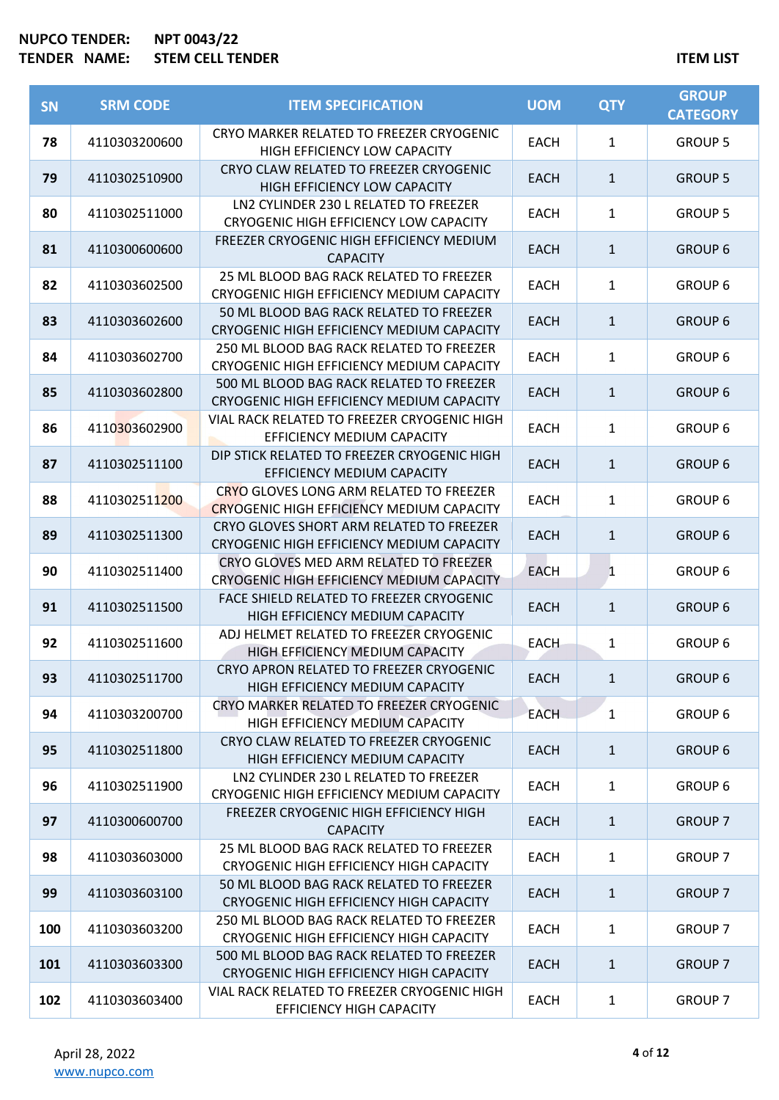| <b>SN</b> | <b>SRM CODE</b> | <b>ITEM SPECIFICATION</b>                                                                   | <b>UOM</b>  | <b>QTY</b>   | <b>GROUP</b><br><b>CATEGORY</b> |
|-----------|-----------------|---------------------------------------------------------------------------------------------|-------------|--------------|---------------------------------|
| 78        | 4110303200600   | CRYO MARKER RELATED TO FREEZER CRYOGENIC<br>HIGH EFFICIENCY LOW CAPACITY                    | <b>EACH</b> | $\mathbf{1}$ | <b>GROUP 5</b>                  |
| 79        | 4110302510900   | CRYO CLAW RELATED TO FREEZER CRYOGENIC<br>HIGH EFFICIENCY LOW CAPACITY                      | <b>EACH</b> | $\mathbf{1}$ | <b>GROUP 5</b>                  |
| 80        | 4110302511000   | LN2 CYLINDER 230 L RELATED TO FREEZER<br>CRYOGENIC HIGH EFFICIENCY LOW CAPACITY             | <b>EACH</b> | $\mathbf{1}$ | <b>GROUP 5</b>                  |
| 81        | 4110300600600   | FREEZER CRYOGENIC HIGH EFFICIENCY MEDIUM<br><b>CAPACITY</b>                                 | <b>EACH</b> | $\mathbf{1}$ | <b>GROUP 6</b>                  |
| 82        | 4110303602500   | 25 ML BLOOD BAG RACK RELATED TO FREEZER<br>CRYOGENIC HIGH EFFICIENCY MEDIUM CAPACITY        | EACH        | $\mathbf{1}$ | <b>GROUP 6</b>                  |
| 83        | 4110303602600   | 50 ML BLOOD BAG RACK RELATED TO FREEZER<br>CRYOGENIC HIGH EFFICIENCY MEDIUM CAPACITY        | <b>EACH</b> | $\mathbf{1}$ | <b>GROUP 6</b>                  |
| 84        | 4110303602700   | 250 ML BLOOD BAG RACK RELATED TO FREEZER<br>CRYOGENIC HIGH EFFICIENCY MEDIUM CAPACITY       | <b>EACH</b> | $\mathbf{1}$ | <b>GROUP 6</b>                  |
| 85        | 4110303602800   | 500 ML BLOOD BAG RACK RELATED TO FREEZER<br>CRYOGENIC HIGH EFFICIENCY MEDIUM CAPACITY       | EACH        | $\mathbf{1}$ | <b>GROUP 6</b>                  |
| 86        | 4110303602900   | VIAL RACK RELATED TO FREEZER CRYOGENIC HIGH<br>EFFICIENCY MEDIUM CAPACITY                   | <b>EACH</b> | $\mathbf{1}$ | <b>GROUP 6</b>                  |
| 87        | 4110302511100   | DIP STICK RELATED TO FREEZER CRYOGENIC HIGH<br>EFFICIENCY MEDIUM CAPACITY                   | <b>EACH</b> | $\mathbf{1}$ | <b>GROUP 6</b>                  |
| 88        | 4110302511200   | CRYO GLOVES LONG ARM RELATED TO FREEZER<br><b>CRYOGENIC HIGH EFFICIENCY MEDIUM CAPACITY</b> | <b>EACH</b> | $\mathbf{1}$ | <b>GROUP 6</b>                  |
| 89        | 4110302511300   | CRYO GLOVES SHORT ARM RELATED TO FREEZER<br>CRYOGENIC HIGH EFFICIENCY MEDIUM CAPACITY       | <b>EACH</b> | $\mathbf{1}$ | <b>GROUP 6</b>                  |
| 90        | 4110302511400   | CRYO GLOVES MED ARM RELATED TO FREEZER<br>CRYOGENIC HIGH EFFICIENCY MEDIUM CAPACITY         | <b>EACH</b> | $\mathbf{1}$ | <b>GROUP 6</b>                  |
| 91        | 4110302511500   | FACE SHIELD RELATED TO FREEZER CRYOGENIC<br>HIGH EFFICIENCY MEDIUM CAPACITY                 | <b>EACH</b> | $\mathbf{1}$ | <b>GROUP 6</b>                  |
| 92        | 4110302511600   | ADJ HELMET RELATED TO FREEZER CRYOGENIC<br>HIGH EFFICIENCY MEDIUM CAPACITY                  | <b>EACH</b> | $\mathbf{1}$ | <b>GROUP 6</b>                  |
| 93        | 4110302511700   | CRYO APRON RELATED TO FREEZER CRYOGENIC<br>HIGH EFFICIENCY MEDIUM CAPACITY                  | EACH        | $\mathbf{1}$ | <b>GROUP 6</b>                  |
| 94        | 4110303200700   | CRYO MARKER RELATED TO FREEZER CRYOGENIC<br>HIGH EFFICIENCY MEDIUM CAPACITY                 | <b>EACH</b> | $\mathbf{1}$ | <b>GROUP 6</b>                  |
| 95        | 4110302511800   | CRYO CLAW RELATED TO FREEZER CRYOGENIC<br>HIGH EFFICIENCY MEDIUM CAPACITY                   | EACH        | $\mathbf{1}$ | <b>GROUP 6</b>                  |
| 96        | 4110302511900   | LN2 CYLINDER 230 L RELATED TO FREEZER<br>CRYOGENIC HIGH EFFICIENCY MEDIUM CAPACITY          | <b>EACH</b> | $\mathbf{1}$ | <b>GROUP 6</b>                  |
| 97        | 4110300600700   | FREEZER CRYOGENIC HIGH EFFICIENCY HIGH<br><b>CAPACITY</b>                                   | EACH        | $\mathbf{1}$ | <b>GROUP 7</b>                  |
| 98        | 4110303603000   | 25 ML BLOOD BAG RACK RELATED TO FREEZER<br>CRYOGENIC HIGH EFFICIENCY HIGH CAPACITY          | EACH        | $\mathbf{1}$ | <b>GROUP 7</b>                  |
| 99        | 4110303603100   | 50 ML BLOOD BAG RACK RELATED TO FREEZER<br>CRYOGENIC HIGH EFFICIENCY HIGH CAPACITY          | <b>EACH</b> | $\mathbf{1}$ | <b>GROUP 7</b>                  |
| 100       | 4110303603200   | 250 ML BLOOD BAG RACK RELATED TO FREEZER<br>CRYOGENIC HIGH EFFICIENCY HIGH CAPACITY         | <b>EACH</b> | $\mathbf{1}$ | <b>GROUP 7</b>                  |
| 101       | 4110303603300   | 500 ML BLOOD BAG RACK RELATED TO FREEZER<br>CRYOGENIC HIGH EFFICIENCY HIGH CAPACITY         | EACH        | $\mathbf{1}$ | <b>GROUP 7</b>                  |
| 102       | 4110303603400   | VIAL RACK RELATED TO FREEZER CRYOGENIC HIGH<br>EFFICIENCY HIGH CAPACITY                     | <b>EACH</b> | $\mathbf{1}$ | <b>GROUP 7</b>                  |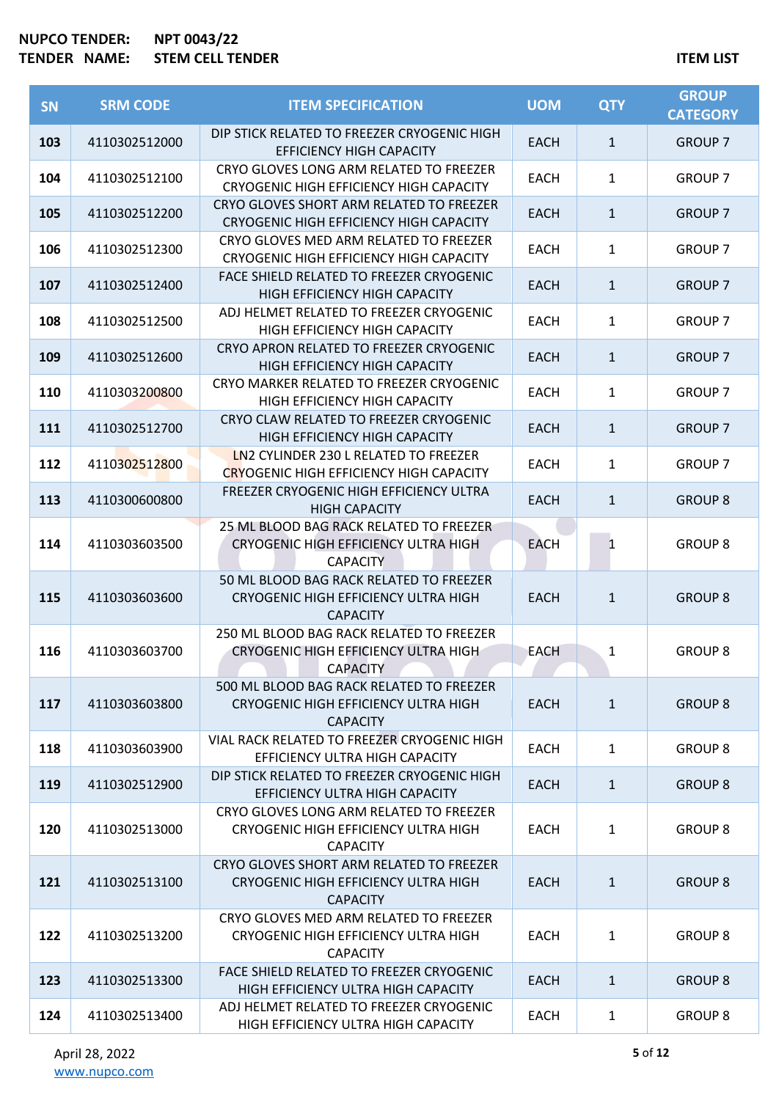| <b>SN</b> | <b>SRM CODE</b> | <b>ITEM SPECIFICATION</b>                                                                                  | <b>UOM</b>  | <b>QTY</b>   | <b>GROUP</b><br><b>CATEGORY</b> |
|-----------|-----------------|------------------------------------------------------------------------------------------------------------|-------------|--------------|---------------------------------|
| 103       | 4110302512000   | DIP STICK RELATED TO FREEZER CRYOGENIC HIGH<br><b>EFFICIENCY HIGH CAPACITY</b>                             | <b>EACH</b> | $\mathbf{1}$ | <b>GROUP 7</b>                  |
| 104       | 4110302512100   | CRYO GLOVES LONG ARM RELATED TO FREEZER<br>CRYOGENIC HIGH EFFICIENCY HIGH CAPACITY                         | <b>EACH</b> | $\mathbf{1}$ | <b>GROUP 7</b>                  |
| 105       | 4110302512200   | CRYO GLOVES SHORT ARM RELATED TO FREEZER<br>CRYOGENIC HIGH EFFICIENCY HIGH CAPACITY                        | <b>EACH</b> | $\mathbf{1}$ | <b>GROUP 7</b>                  |
| 106       | 4110302512300   | CRYO GLOVES MED ARM RELATED TO FREEZER<br>CRYOGENIC HIGH EFFICIENCY HIGH CAPACITY                          | <b>EACH</b> | $\mathbf{1}$ | <b>GROUP 7</b>                  |
| 107       | 4110302512400   | FACE SHIELD RELATED TO FREEZER CRYOGENIC<br>HIGH EFFICIENCY HIGH CAPACITY                                  | <b>EACH</b> | $\mathbf{1}$ | <b>GROUP 7</b>                  |
| 108       | 4110302512500   | ADJ HELMET RELATED TO FREEZER CRYOGENIC<br>HIGH EFFICIENCY HIGH CAPACITY                                   | EACH        | 1            | <b>GROUP 7</b>                  |
| 109       | 4110302512600   | CRYO APRON RELATED TO FREEZER CRYOGENIC<br>HIGH EFFICIENCY HIGH CAPACITY                                   | <b>EACH</b> | $\mathbf{1}$ | <b>GROUP 7</b>                  |
| 110       | 4110303200800   | CRYO MARKER RELATED TO FREEZER CRYOGENIC<br>HIGH EFFICIENCY HIGH CAPACITY                                  | <b>EACH</b> | $\mathbf{1}$ | <b>GROUP 7</b>                  |
| 111       | 4110302512700   | CRYO CLAW RELATED TO FREEZER CRYOGENIC<br>HIGH EFFICIENCY HIGH CAPACITY                                    | <b>EACH</b> | $\mathbf{1}$ | <b>GROUP 7</b>                  |
| 112       | 4110302512800   | LN2 CYLINDER 230 L RELATED TO FREEZER<br><b>CRYOGENIC HIGH EFFICIENCY HIGH CAPACITY</b>                    | <b>EACH</b> | $\mathbf{1}$ | <b>GROUP 7</b>                  |
| 113       | 4110300600800   | FREEZER CRYOGENIC HIGH EFFICIENCY ULTRA<br><b>HIGH CAPACITY</b>                                            | <b>EACH</b> | $\mathbf{1}$ | <b>GROUP 8</b>                  |
| 114       | 4110303603500   | 25 ML BLOOD BAG RACK RELATED TO FREEZER<br><b>CRYOGENIC HIGH EFFICIENCY ULTRA HIGH</b><br><b>CAPACITY</b>  | <b>EACH</b> | 1            | <b>GROUP 8</b>                  |
| 115       | 4110303603600   | 50 ML BLOOD BAG RACK RELATED TO FREEZER<br>CRYOGENIC HIGH EFFICIENCY ULTRA HIGH<br><b>CAPACITY</b>         | <b>EACH</b> | $\mathbf{1}$ | <b>GROUP 8</b>                  |
| 116       | 4110303603700   | 250 ML BLOOD BAG RACK RELATED TO FREEZER<br>CRYOGENIC HIGH EFFICIENCY ULTRA HIGH<br><b>CAPACITY</b>        | EACH        | 1            | <b>GROUP 8</b>                  |
| 117       | 4110303603800   | 500 ML BLOOD BAG RACK RELATED TO FREEZER<br><b>CRYOGENIC HIGH EFFICIENCY ULTRA HIGH</b><br><b>CAPACITY</b> | <b>EACH</b> | $\mathbf{1}$ | <b>GROUP 8</b>                  |
| 118       | 4110303603900   | VIAL RACK RELATED TO FREEZER CRYOGENIC HIGH<br>EFFICIENCY ULTRA HIGH CAPACITY                              | EACH        | $\mathbf{1}$ | <b>GROUP 8</b>                  |
| 119       | 4110302512900   | DIP STICK RELATED TO FREEZER CRYOGENIC HIGH<br>EFFICIENCY ULTRA HIGH CAPACITY                              | <b>EACH</b> | $\mathbf{1}$ | <b>GROUP 8</b>                  |
| 120       | 4110302513000   | CRYO GLOVES LONG ARM RELATED TO FREEZER<br>CRYOGENIC HIGH EFFICIENCY ULTRA HIGH<br><b>CAPACITY</b>         | <b>EACH</b> | 1            | <b>GROUP 8</b>                  |
| 121       | 4110302513100   | CRYO GLOVES SHORT ARM RELATED TO FREEZER<br>CRYOGENIC HIGH EFFICIENCY ULTRA HIGH<br><b>CAPACITY</b>        | <b>EACH</b> | $\mathbf{1}$ | <b>GROUP 8</b>                  |
| 122       | 4110302513200   | CRYO GLOVES MED ARM RELATED TO FREEZER<br>CRYOGENIC HIGH EFFICIENCY ULTRA HIGH<br><b>CAPACITY</b>          | <b>EACH</b> | $\mathbf{1}$ | <b>GROUP 8</b>                  |
| 123       | 4110302513300   | FACE SHIELD RELATED TO FREEZER CRYOGENIC<br>HIGH EFFICIENCY ULTRA HIGH CAPACITY                            | EACH        | $\mathbf{1}$ | <b>GROUP 8</b>                  |
| 124       | 4110302513400   | ADJ HELMET RELATED TO FREEZER CRYOGENIC<br>HIGH EFFICIENCY ULTRA HIGH CAPACITY                             | EACH        | $\mathbf{1}$ | <b>GROUP 8</b>                  |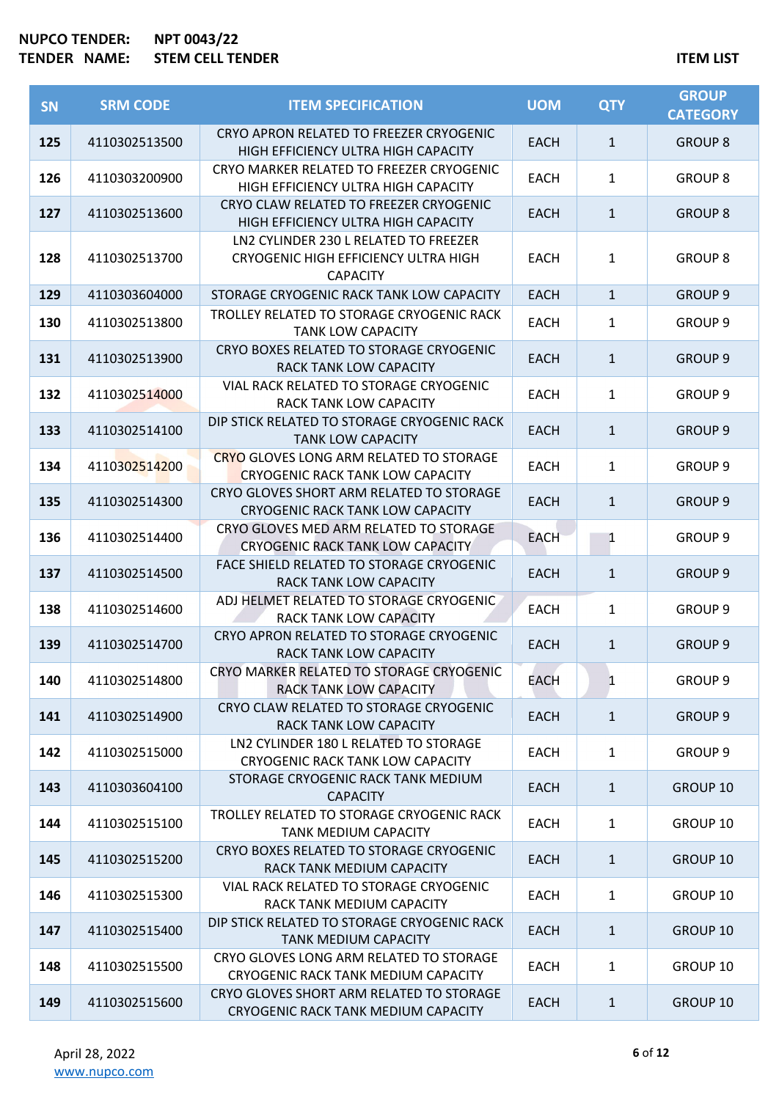| <b>SN</b> | <b>SRM CODE</b> | <b>ITEM SPECIFICATION</b>                                                                        | <b>UOM</b>  | <b>QTY</b>   | <b>GROUP</b><br><b>CATEGORY</b> |
|-----------|-----------------|--------------------------------------------------------------------------------------------------|-------------|--------------|---------------------------------|
| 125       | 4110302513500   | CRYO APRON RELATED TO FREEZER CRYOGENIC<br>HIGH EFFICIENCY ULTRA HIGH CAPACITY                   | <b>EACH</b> | $\mathbf{1}$ | <b>GROUP 8</b>                  |
| 126       | 4110303200900   | CRYO MARKER RELATED TO FREEZER CRYOGENIC<br>HIGH EFFICIENCY ULTRA HIGH CAPACITY                  | <b>EACH</b> | 1            | <b>GROUP 8</b>                  |
| 127       | 4110302513600   | CRYO CLAW RELATED TO FREEZER CRYOGENIC<br>HIGH EFFICIENCY ULTRA HIGH CAPACITY                    | <b>EACH</b> | $\mathbf{1}$ | <b>GROUP 8</b>                  |
| 128       | 4110302513700   | LN2 CYLINDER 230 L RELATED TO FREEZER<br>CRYOGENIC HIGH EFFICIENCY ULTRA HIGH<br><b>CAPACITY</b> | <b>EACH</b> | 1            | <b>GROUP 8</b>                  |
| 129       | 4110303604000   | STORAGE CRYOGENIC RACK TANK LOW CAPACITY                                                         | <b>EACH</b> | $\mathbf{1}$ | <b>GROUP 9</b>                  |
| 130       | 4110302513800   | TROLLEY RELATED TO STORAGE CRYOGENIC RACK<br><b>TANK LOW CAPACITY</b>                            | <b>EACH</b> | $\mathbf{1}$ | GROUP <sub>9</sub>              |
| 131       | 4110302513900   | CRYO BOXES RELATED TO STORAGE CRYOGENIC<br><b>RACK TANK LOW CAPACITY</b>                         | <b>EACH</b> | $\mathbf{1}$ | <b>GROUP 9</b>                  |
| 132       | 4110302514000   | VIAL RACK RELATED TO STORAGE CRYOGENIC<br>RACK TANK LOW CAPACITY                                 | <b>EACH</b> | $\mathbf{1}$ | <b>GROUP 9</b>                  |
| 133       | 4110302514100   | DIP STICK RELATED TO STORAGE CRYOGENIC RACK<br><b>TANK LOW CAPACITY</b>                          | <b>EACH</b> | $\mathbf{1}$ | <b>GROUP 9</b>                  |
| 134       | 4110302514200   | CRYO GLOVES LONG ARM RELATED TO STORAGE<br><b>CRYOGENIC RACK TANK LOW CAPACITY</b>               | <b>EACH</b> | $\mathbf{1}$ | <b>GROUP 9</b>                  |
| 135       | 4110302514300   | CRYO GLOVES SHORT ARM RELATED TO STORAGE<br><b>CRYOGENIC RACK TANK LOW CAPACITY</b>              | <b>EACH</b> | $\mathbf{1}$ | <b>GROUP 9</b>                  |
| 136       | 4110302514400   | CRYO GLOVES MED ARM RELATED TO STORAGE<br><b>CRYOGENIC RACK TANK LOW CAPACITY</b>                | <b>EACH</b> | 1            | <b>GROUP 9</b>                  |
| 137       | 4110302514500   | FACE SHIELD RELATED TO STORAGE CRYOGENIC<br>RACK TANK LOW CAPACITY                               | <b>EACH</b> | $\mathbf{1}$ | <b>GROUP 9</b>                  |
| 138       | 4110302514600   | ADJ HELMET RELATED TO STORAGE CRYOGENIC<br>RACK TANK LOW CAPACITY                                | EACH        | 1            | <b>GROUP 9</b>                  |
| 139       | 4110302514700   | CRYO APRON RELATED TO STORAGE CRYOGENIC<br>RACK TANK LOW CAPACITY                                | <b>EACH</b> | 1            | <b>GROUP 9</b>                  |
| 140       | 4110302514800   | CRYO MARKER RELATED TO STORAGE CRYOGENIC<br><b>RACK TANK LOW CAPACITY</b>                        | EACH        | $\mathbf{1}$ | <b>GROUP 9</b>                  |
| 141       | 4110302514900   | CRYO CLAW RELATED TO STORAGE CRYOGENIC<br>RACK TANK LOW CAPACITY                                 | <b>EACH</b> | $\mathbf{1}$ | <b>GROUP 9</b>                  |
| 142       | 4110302515000   | LN2 CYLINDER 180 L RELATED TO STORAGE<br>CRYOGENIC RACK TANK LOW CAPACITY                        | <b>EACH</b> | 1            | <b>GROUP 9</b>                  |
| 143       | 4110303604100   | STORAGE CRYOGENIC RACK TANK MEDIUM<br><b>CAPACITY</b>                                            | <b>EACH</b> | $\mathbf{1}$ | GROUP 10                        |
| 144       | 4110302515100   | TROLLEY RELATED TO STORAGE CRYOGENIC RACK<br><b>TANK MEDIUM CAPACITY</b>                         | <b>EACH</b> | $\mathbf{1}$ | GROUP 10                        |
| 145       | 4110302515200   | CRYO BOXES RELATED TO STORAGE CRYOGENIC<br>RACK TANK MEDIUM CAPACITY                             | <b>EACH</b> | $\mathbf{1}$ | GROUP 10                        |
| 146       | 4110302515300   | VIAL RACK RELATED TO STORAGE CRYOGENIC<br>RACK TANK MEDIUM CAPACITY                              | <b>EACH</b> | 1            | GROUP 10                        |
| 147       | 4110302515400   | DIP STICK RELATED TO STORAGE CRYOGENIC RACK<br><b>TANK MEDIUM CAPACITY</b>                       | <b>EACH</b> | $\mathbf{1}$ | GROUP 10                        |
| 148       | 4110302515500   | CRYO GLOVES LONG ARM RELATED TO STORAGE<br>CRYOGENIC RACK TANK MEDIUM CAPACITY                   | EACH        | 1            | GROUP 10                        |
| 149       | 4110302515600   | CRYO GLOVES SHORT ARM RELATED TO STORAGE<br>CRYOGENIC RACK TANK MEDIUM CAPACITY                  | <b>EACH</b> | 1            | GROUP 10                        |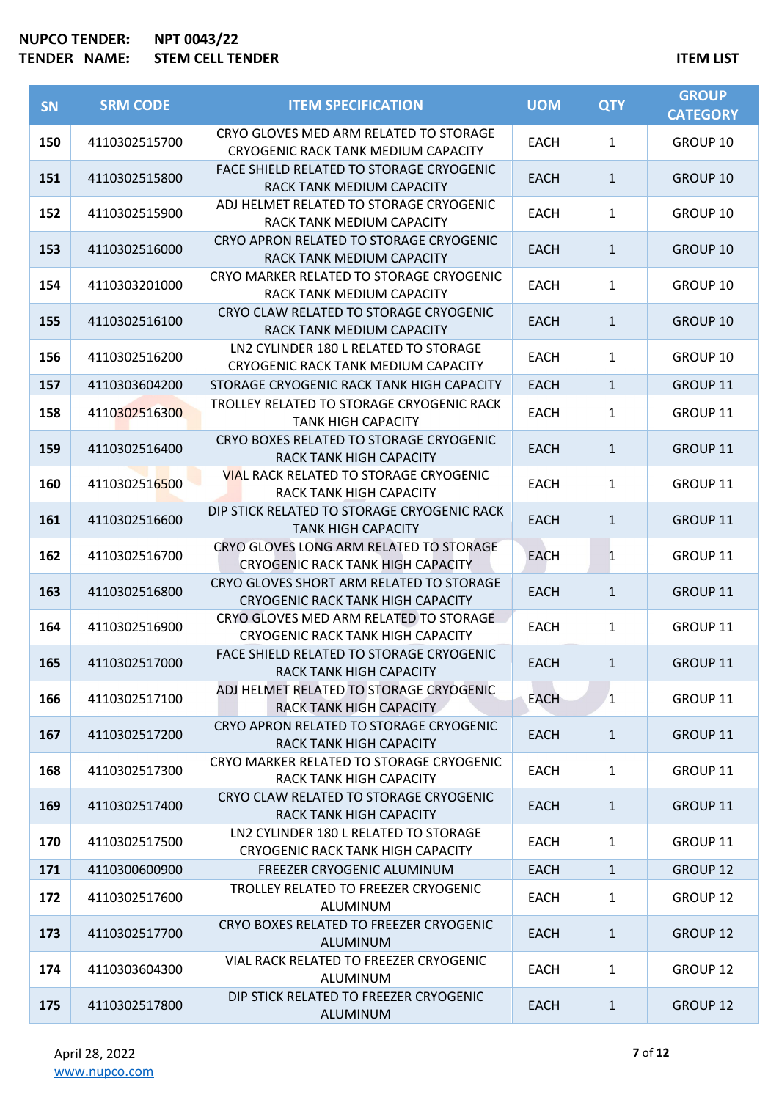# **NUPCO TENDER: NPT 0043/22 TEM CELL TENDER NAME: STEM CELL TENDER ITEM IITEM IITEM IITEM**

| <b>SN</b> | <b>SRM CODE</b> | <b>ITEM SPECIFICATION</b>                                                            | <b>UOM</b>  | <b>QTY</b>   | <b>GROUP</b><br><b>CATEGORY</b> |
|-----------|-----------------|--------------------------------------------------------------------------------------|-------------|--------------|---------------------------------|
| 150       | 4110302515700   | CRYO GLOVES MED ARM RELATED TO STORAGE<br>CRYOGENIC RACK TANK MEDIUM CAPACITY        | EACH        | $\mathbf{1}$ | GROUP 10                        |
| 151       | 4110302515800   | FACE SHIELD RELATED TO STORAGE CRYOGENIC<br>RACK TANK MEDIUM CAPACITY                | <b>EACH</b> | $\mathbf{1}$ | GROUP 10                        |
| 152       | 4110302515900   | ADJ HELMET RELATED TO STORAGE CRYOGENIC<br>RACK TANK MEDIUM CAPACITY                 | <b>EACH</b> | $\mathbf{1}$ | GROUP 10                        |
| 153       | 4110302516000   | CRYO APRON RELATED TO STORAGE CRYOGENIC<br>RACK TANK MEDIUM CAPACITY                 | <b>EACH</b> | $\mathbf{1}$ | GROUP 10                        |
| 154       | 4110303201000   | CRYO MARKER RELATED TO STORAGE CRYOGENIC<br>RACK TANK MEDIUM CAPACITY                | EACH        | $\mathbf{1}$ | GROUP 10                        |
| 155       | 4110302516100   | CRYO CLAW RELATED TO STORAGE CRYOGENIC<br>RACK TANK MEDIUM CAPACITY                  | <b>EACH</b> | $\mathbf{1}$ | <b>GROUP 10</b>                 |
| 156       | 4110302516200   | LN2 CYLINDER 180 L RELATED TO STORAGE<br>CRYOGENIC RACK TANK MEDIUM CAPACITY         | <b>EACH</b> | $\mathbf{1}$ | GROUP 10                        |
| 157       | 4110303604200   | STORAGE CRYOGENIC RACK TANK HIGH CAPACITY                                            | <b>EACH</b> | $\mathbf{1}$ | GROUP 11                        |
| 158       | 4110302516300   | TROLLEY RELATED TO STORAGE CRYOGENIC RACK<br><b>TANK HIGH CAPACITY</b>               | <b>EACH</b> | $\mathbf{1}$ | GROUP 11                        |
| 159       | 4110302516400   | CRYO BOXES RELATED TO STORAGE CRYOGENIC<br><b>RACK TANK HIGH CAPACITY</b>            | <b>EACH</b> | $\mathbf{1}$ | GROUP 11                        |
| 160       | 4110302516500   | <b>VIAL RACK RELATED TO STORAGE CRYOGENIC</b><br>RACK TANK HIGH CAPACITY             | <b>EACH</b> | $\mathbf{1}$ | GROUP 11                        |
| 161       | 4110302516600   | DIP STICK RELATED TO STORAGE CRYOGENIC RACK<br><b>TANK HIGH CAPACITY</b>             | <b>EACH</b> | $\mathbf{1}$ | GROUP 11                        |
| 162       | 4110302516700   | CRYO GLOVES LONG ARM RELATED TO STORAGE<br><b>CRYOGENIC RACK TANK HIGH CAPACITY</b>  | <b>EACH</b> | $\mathbf{1}$ | GROUP 11                        |
| 163       | 4110302516800   | CRYO GLOVES SHORT ARM RELATED TO STORAGE<br><b>CRYOGENIC RACK TANK HIGH CAPACITY</b> | <b>EACH</b> | $\mathbf{1}$ | GROUP 11                        |
| 164       | 4110302516900   | CRYO GLOVES MED ARM RELATED TO STORAGE<br><b>CRYOGENIC RACK TANK HIGH CAPACITY</b>   | <b>EACH</b> | 1            | GROUP 11                        |
| 165       | 4110302517000   | FACE SHIELD RELATED TO STORAGE CRYOGENIC<br>RACK TANK HIGH CAPACITY                  | <b>EACH</b> | 1            | GROUP 11                        |
| 166       | 4110302517100   | ADJ HELMET RELATED TO STORAGE CRYOGENIC<br><b>RACK TANK HIGH CAPACITY</b>            | <b>EACH</b> | $\mathbf{1}$ | GROUP 11                        |
| 167       | 4110302517200   | CRYO APRON RELATED TO STORAGE CRYOGENIC<br><b>RACK TANK HIGH CAPACITY</b>            | <b>EACH</b> | 1            | <b>GROUP 11</b>                 |
| 168       | 4110302517300   | CRYO MARKER RELATED TO STORAGE CRYOGENIC<br>RACK TANK HIGH CAPACITY                  | <b>EACH</b> | $\mathbf{1}$ | GROUP 11                        |
| 169       | 4110302517400   | CRYO CLAW RELATED TO STORAGE CRYOGENIC<br><b>RACK TANK HIGH CAPACITY</b>             | <b>EACH</b> | $\mathbf{1}$ | GROUP 11                        |
| 170       | 4110302517500   | LN2 CYLINDER 180 L RELATED TO STORAGE<br>CRYOGENIC RACK TANK HIGH CAPACITY           | EACH        | 1            | GROUP 11                        |
| 171       | 4110300600900   | FREEZER CRYOGENIC ALUMINUM                                                           | <b>EACH</b> | $\mathbf{1}$ | GROUP 12                        |
| 172       | 4110302517600   | TROLLEY RELATED TO FREEZER CRYOGENIC<br>ALUMINUM                                     | <b>EACH</b> | $\mathbf{1}$ | GROUP 12                        |
| 173       | 4110302517700   | CRYO BOXES RELATED TO FREEZER CRYOGENIC<br>ALUMINUM                                  | <b>EACH</b> | $\mathbf{1}$ | GROUP 12                        |
| 174       | 4110303604300   | VIAL RACK RELATED TO FREEZER CRYOGENIC<br>ALUMINUM                                   | EACH        | 1            | GROUP 12                        |
| 175       | 4110302517800   | DIP STICK RELATED TO FREEZER CRYOGENIC<br>ALUMINUM                                   | <b>EACH</b> | $\mathbf{1}$ | GROUP 12                        |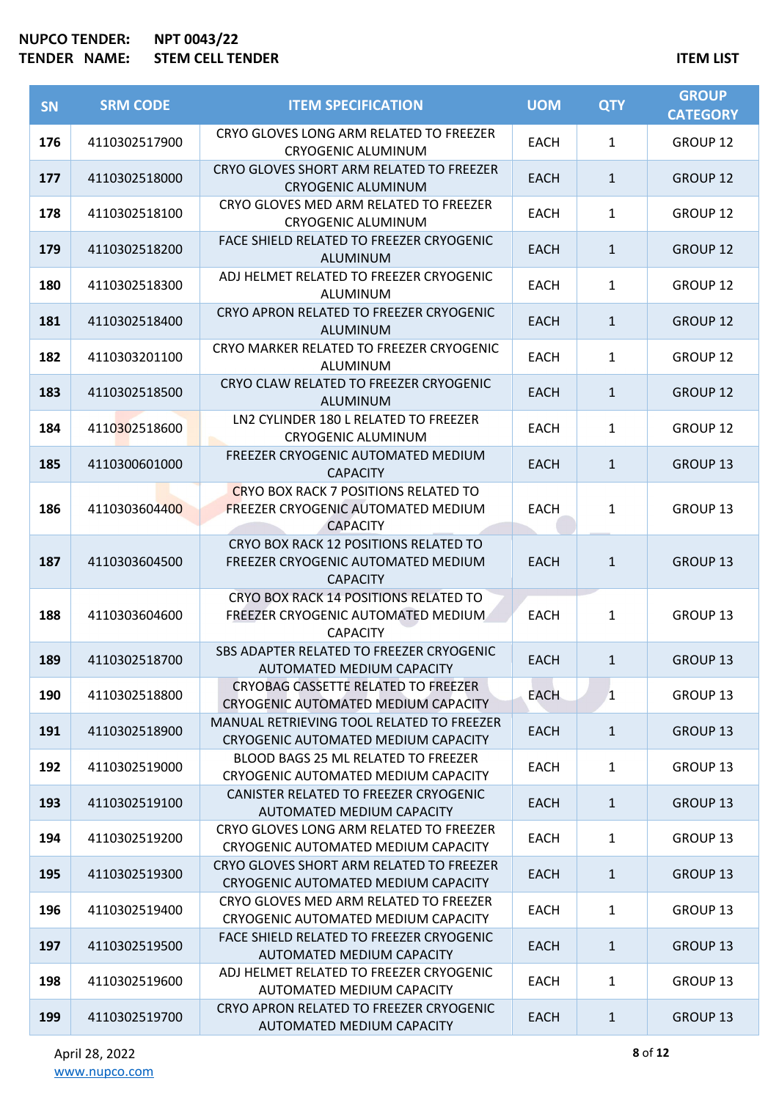| <b>SN</b> | <b>SRM CODE</b> | <b>ITEM SPECIFICATION</b>                                                                                   | <b>UOM</b>  | <b>QTY</b>   | <b>GROUP</b><br><b>CATEGORY</b> |
|-----------|-----------------|-------------------------------------------------------------------------------------------------------------|-------------|--------------|---------------------------------|
| 176       | 4110302517900   | CRYO GLOVES LONG ARM RELATED TO FREEZER<br><b>CRYOGENIC ALUMINUM</b>                                        | <b>EACH</b> | $\mathbf{1}$ | GROUP 12                        |
| 177       | 4110302518000   | CRYO GLOVES SHORT ARM RELATED TO FREEZER<br><b>CRYOGENIC ALUMINUM</b>                                       | EACH        | $\mathbf{1}$ | <b>GROUP 12</b>                 |
| 178       | 4110302518100   | CRYO GLOVES MED ARM RELATED TO FREEZER<br><b>CRYOGENIC ALUMINUM</b>                                         | <b>EACH</b> | $\mathbf{1}$ | GROUP 12                        |
| 179       | 4110302518200   | FACE SHIELD RELATED TO FREEZER CRYOGENIC<br><b>ALUMINUM</b>                                                 | EACH        | $\mathbf{1}$ | <b>GROUP 12</b>                 |
| 180       | 4110302518300   | ADJ HELMET RELATED TO FREEZER CRYOGENIC<br>ALUMINUM                                                         | EACH        | $\mathbf{1}$ | GROUP 12                        |
| 181       | 4110302518400   | CRYO APRON RELATED TO FREEZER CRYOGENIC<br>ALUMINUM                                                         | <b>EACH</b> | $\mathbf{1}$ | <b>GROUP 12</b>                 |
| 182       | 4110303201100   | CRYO MARKER RELATED TO FREEZER CRYOGENIC<br>ALUMINUM                                                        | <b>EACH</b> | $\mathbf{1}$ | <b>GROUP 12</b>                 |
| 183       | 4110302518500   | CRYO CLAW RELATED TO FREEZER CRYOGENIC<br>ALUMINUM                                                          | <b>EACH</b> | $\mathbf{1}$ | <b>GROUP 12</b>                 |
| 184       | 4110302518600   | LN2 CYLINDER 180 L RELATED TO FREEZER<br><b>CRYOGENIC ALUMINUM</b>                                          | <b>EACH</b> | $\mathbf{1}$ | <b>GROUP 12</b>                 |
| 185       | 4110300601000   | FREEZER CRYOGENIC AUTOMATED MEDIUM<br><b>CAPACITY</b>                                                       | <b>EACH</b> | $\mathbf{1}$ | <b>GROUP 13</b>                 |
| 186       | 4110303604400   | <b>CRYO BOX RACK 7 POSITIONS RELATED TO</b><br><b>FREEZER CRYOGENIC AUTOMATED MEDIUM</b><br><b>CAPACITY</b> | <b>EACH</b> | $\mathbf{1}$ | GROUP 13                        |
| 187       | 4110303604500   | CRYO BOX RACK 12 POSITIONS RELATED TO<br>FREEZER CRYOGENIC AUTOMATED MEDIUM<br><b>CAPACITY</b>              | <b>EACH</b> | $\mathbf{1}$ | <b>GROUP 13</b>                 |
| 188       | 4110303604600   | CRYO BOX RACK 14 POSITIONS RELATED TO<br>FREEZER CRYOGENIC AUTOMATED MEDIUM<br><b>CAPACITY</b>              | <b>EACH</b> | $\mathbf{1}$ | GROUP 13                        |
| 189       | 4110302518700   | SBS ADAPTER RELATED TO FREEZER CRYOGENIC<br>AUTOMATED MEDIUM CAPACITY                                       | <b>EACH</b> | $\mathbf{1}$ | <b>GROUP 13</b>                 |
| 190       | 4110302518800   | CRYOBAG CASSETTE RELATED TO FREEZER<br>CRYOGENIC AUTOMATED MEDIUM CAPACITY                                  | <b>EACH</b> | $\mathbf{1}$ | GROUP 13                        |
| 191       | 4110302518900   | MANUAL RETRIEVING TOOL RELATED TO FREEZER<br>CRYOGENIC AUTOMATED MEDIUM CAPACITY                            | EACH        | $\mathbf{1}$ | GROUP 13                        |
| 192       | 4110302519000   | BLOOD BAGS 25 ML RELATED TO FREEZER<br>CRYOGENIC AUTOMATED MEDIUM CAPACITY                                  | EACH        | $\mathbf{1}$ | GROUP 13                        |
| 193       | 4110302519100   | CANISTER RELATED TO FREEZER CRYOGENIC<br>AUTOMATED MEDIUM CAPACITY                                          | <b>EACH</b> | $\mathbf{1}$ | <b>GROUP 13</b>                 |
| 194       | 4110302519200   | CRYO GLOVES LONG ARM RELATED TO FREEZER<br>CRYOGENIC AUTOMATED MEDIUM CAPACITY                              | <b>EACH</b> | $\mathbf{1}$ | GROUP 13                        |
| 195       | 4110302519300   | CRYO GLOVES SHORT ARM RELATED TO FREEZER<br>CRYOGENIC AUTOMATED MEDIUM CAPACITY                             | EACH        | $\mathbf{1}$ | GROUP 13                        |
| 196       | 4110302519400   | CRYO GLOVES MED ARM RELATED TO FREEZER<br>CRYOGENIC AUTOMATED MEDIUM CAPACITY                               | <b>EACH</b> | $\mathbf{1}$ | GROUP 13                        |
| 197       | 4110302519500   | FACE SHIELD RELATED TO FREEZER CRYOGENIC<br>AUTOMATED MEDIUM CAPACITY                                       | <b>EACH</b> | $\mathbf{1}$ | <b>GROUP 13</b>                 |
| 198       | 4110302519600   | ADJ HELMET RELATED TO FREEZER CRYOGENIC<br>AUTOMATED MEDIUM CAPACITY                                        | <b>EACH</b> | $\mathbf{1}$ | GROUP 13                        |
| 199       | 4110302519700   | CRYO APRON RELATED TO FREEZER CRYOGENIC<br>AUTOMATED MEDIUM CAPACITY                                        | <b>EACH</b> | $\mathbf{1}$ | GROUP 13                        |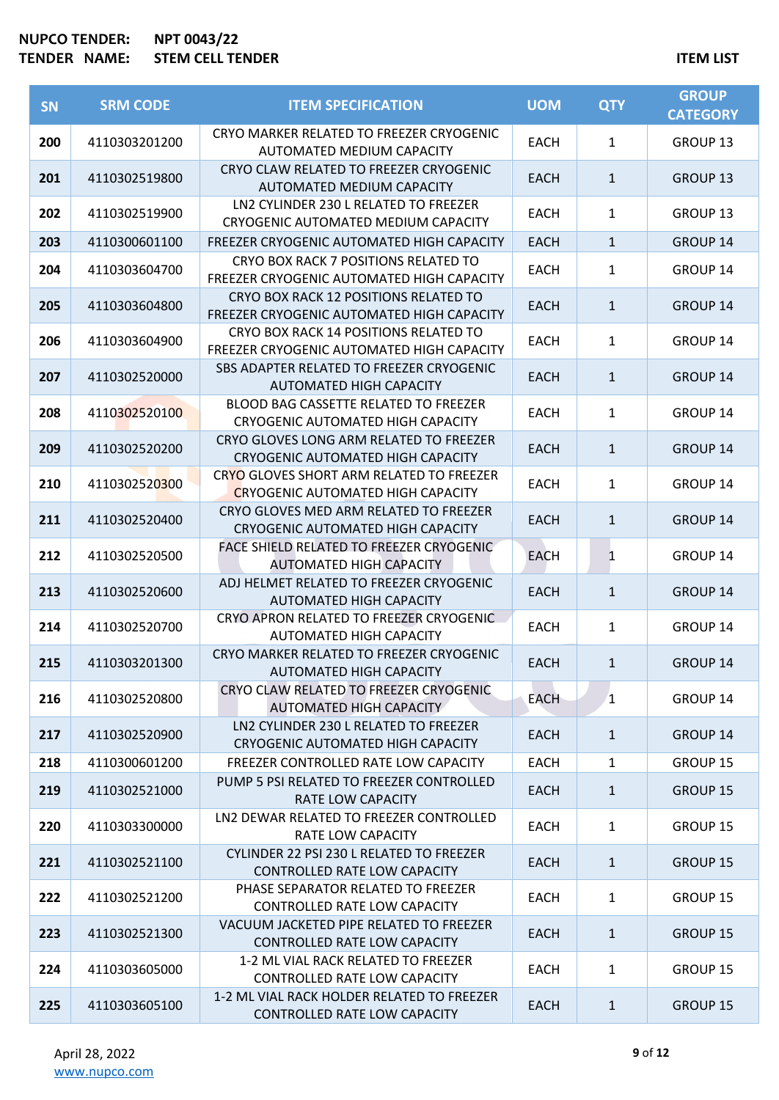| <b>SN</b> | <b>SRM CODE</b> | <b>ITEM SPECIFICATION</b>                                                            | <b>UOM</b>  | <b>QTY</b>   | <b>GROUP</b><br><b>CATEGORY</b> |
|-----------|-----------------|--------------------------------------------------------------------------------------|-------------|--------------|---------------------------------|
| 200       | 4110303201200   | CRYO MARKER RELATED TO FREEZER CRYOGENIC<br>AUTOMATED MEDIUM CAPACITY                | <b>EACH</b> | 1            | GROUP 13                        |
| 201       | 4110302519800   | CRYO CLAW RELATED TO FREEZER CRYOGENIC<br>AUTOMATED MEDIUM CAPACITY                  | <b>EACH</b> | $\mathbf{1}$ | GROUP <sub>13</sub>             |
| 202       | 4110302519900   | LN2 CYLINDER 230 L RELATED TO FREEZER<br>CRYOGENIC AUTOMATED MEDIUM CAPACITY         | <b>EACH</b> | 1            | GROUP 13                        |
| 203       | 4110300601100   | FREEZER CRYOGENIC AUTOMATED HIGH CAPACITY                                            | <b>EACH</b> | $\mathbf{1}$ | GROUP 14                        |
| 204       | 4110303604700   | CRYO BOX RACK 7 POSITIONS RELATED TO<br>FREEZER CRYOGENIC AUTOMATED HIGH CAPACITY    | <b>EACH</b> | 1            | GROUP 14                        |
| 205       | 4110303604800   | CRYO BOX RACK 12 POSITIONS RELATED TO<br>FREEZER CRYOGENIC AUTOMATED HIGH CAPACITY   | <b>EACH</b> | $\mathbf{1}$ | <b>GROUP 14</b>                 |
| 206       | 4110303604900   | CRYO BOX RACK 14 POSITIONS RELATED TO<br>FREEZER CRYOGENIC AUTOMATED HIGH CAPACITY   | <b>EACH</b> | $\mathbf{1}$ | GROUP 14                        |
| 207       | 4110302520000   | SBS ADAPTER RELATED TO FREEZER CRYOGENIC<br>AUTOMATED HIGH CAPACITY                  | <b>EACH</b> | $\mathbf{1}$ | GROUP 14                        |
| 208       | 4110302520100   | BLOOD BAG CASSETTE RELATED TO FREEZER<br><b>CRYOGENIC AUTOMATED HIGH CAPACITY</b>    | <b>EACH</b> | 1            | GROUP 14                        |
| 209       | 4110302520200   | CRYO GLOVES LONG ARM RELATED TO FREEZER<br><b>CRYOGENIC AUTOMATED HIGH CAPACITY</b>  | <b>EACH</b> | $\mathbf{1}$ | <b>GROUP 14</b>                 |
| 210       | 4110302520300   | CRYO GLOVES SHORT ARM RELATED TO FREEZER<br><b>CRYOGENIC AUTOMATED HIGH CAPACITY</b> | <b>EACH</b> | $\mathbf{1}$ | GROUP 14                        |
| 211       | 4110302520400   | CRYO GLOVES MED ARM RELATED TO FREEZER<br><b>CRYOGENIC AUTOMATED HIGH CAPACITY</b>   | <b>EACH</b> | $\mathbf{1}$ | <b>GROUP 14</b>                 |
| 212       | 4110302520500   | FACE SHIELD RELATED TO FREEZER CRYOGENIC<br><b>AUTOMATED HIGH CAPACITY</b>           | <b>EACH</b> | 1            | GROUP 14                        |
| 213       | 4110302520600   | ADJ HELMET RELATED TO FREEZER CRYOGENIC<br>AUTOMATED HIGH CAPACITY                   | <b>EACH</b> | $\mathbf{1}$ | GROUP 14                        |
| 214       | 4110302520700   | CRYO APRON RELATED TO FREEZER CRYOGENIC<br>AUTOMATED HIGH CAPACITY                   | EACH        | 1            | GROUP 14                        |
| 215       | 4110303201300   | CRYO MARKER RELATED TO FREEZER CRYOGENIC<br>AUTOMATED HIGH CAPACITY                  | <b>EACH</b> | $\mathbf{1}$ | GROUP 14                        |
| 216       | 4110302520800   | CRYO CLAW RELATED TO FREEZER CRYOGENIC<br>AUTOMATED HIGH CAPACITY                    | <b>EACH</b> | $\mathbf{1}$ | GROUP 14                        |
| 217       | 4110302520900   | LN2 CYLINDER 230 L RELATED TO FREEZER<br>CRYOGENIC AUTOMATED HIGH CAPACITY           | <b>EACH</b> | $\mathbf{1}$ | GROUP 14                        |
| 218       | 4110300601200   | FREEZER CONTROLLED RATE LOW CAPACITY                                                 | <b>EACH</b> | $\mathbf{1}$ | GROUP 15                        |
| 219       | 4110302521000   | PUMP 5 PSI RELATED TO FREEZER CONTROLLED<br>RATE LOW CAPACITY                        | <b>EACH</b> | $\mathbf{1}$ | <b>GROUP 15</b>                 |
| 220       | 4110303300000   | LN2 DEWAR RELATED TO FREEZER CONTROLLED<br><b>RATE LOW CAPACITY</b>                  | <b>EACH</b> | $\mathbf{1}$ | GROUP 15                        |
| 221       | 4110302521100   | CYLINDER 22 PSI 230 L RELATED TO FREEZER<br>CONTROLLED RATE LOW CAPACITY             | <b>EACH</b> | $\mathbf{1}$ | GROUP 15                        |
| 222       | 4110302521200   | PHASE SEPARATOR RELATED TO FREEZER<br>CONTROLLED RATE LOW CAPACITY                   | <b>EACH</b> | $\mathbf{1}$ | GROUP 15                        |
| 223       | 4110302521300   | VACUUM JACKETED PIPE RELATED TO FREEZER<br>CONTROLLED RATE LOW CAPACITY              | <b>EACH</b> | $\mathbf{1}$ | <b>GROUP 15</b>                 |
| 224       | 4110303605000   | 1-2 ML VIAL RACK RELATED TO FREEZER<br>CONTROLLED RATE LOW CAPACITY                  | <b>EACH</b> | 1            | GROUP 15                        |
| 225       | 4110303605100   | 1-2 ML VIAL RACK HOLDER RELATED TO FREEZER<br>CONTROLLED RATE LOW CAPACITY           | <b>EACH</b> | $\mathbf{1}$ | <b>GROUP 15</b>                 |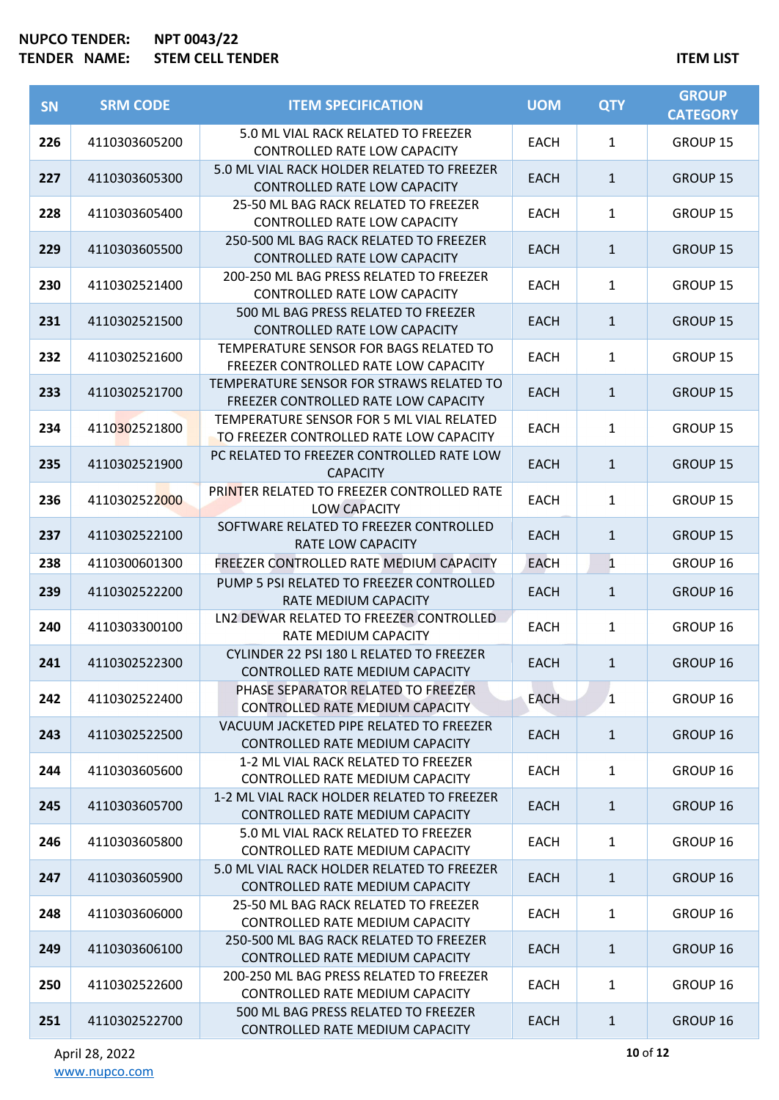| <b>SN</b> | <b>SRM CODE</b> | <b>ITEM SPECIFICATION</b>                                                           | <b>UOM</b>  | <b>QTY</b>   | <b>GROUP</b><br><b>CATEGORY</b> |
|-----------|-----------------|-------------------------------------------------------------------------------------|-------------|--------------|---------------------------------|
| 226       | 4110303605200   | 5.0 ML VIAL RACK RELATED TO FREEZER<br>CONTROLLED RATE LOW CAPACITY                 | <b>EACH</b> | 1            | GROUP 15                        |
| 227       | 4110303605300   | 5.0 ML VIAL RACK HOLDER RELATED TO FREEZER<br>CONTROLLED RATE LOW CAPACITY          | <b>EACH</b> | $\mathbf{1}$ | <b>GROUP 15</b>                 |
| 228       | 4110303605400   | 25-50 ML BAG RACK RELATED TO FREEZER<br><b>CONTROLLED RATE LOW CAPACITY</b>         | <b>EACH</b> | $\mathbf{1}$ | <b>GROUP 15</b>                 |
| 229       | 4110303605500   | 250-500 ML BAG RACK RELATED TO FREEZER<br><b>CONTROLLED RATE LOW CAPACITY</b>       | <b>EACH</b> | $\mathbf{1}$ | <b>GROUP 15</b>                 |
| 230       | 4110302521400   | 200-250 ML BAG PRESS RELATED TO FREEZER<br>CONTROLLED RATE LOW CAPACITY             | <b>EACH</b> | $\mathbf{1}$ | GROUP 15                        |
| 231       | 4110302521500   | 500 ML BAG PRESS RELATED TO FREEZER<br><b>CONTROLLED RATE LOW CAPACITY</b>          | <b>EACH</b> | $\mathbf{1}$ | <b>GROUP 15</b>                 |
| 232       | 4110302521600   | TEMPERATURE SENSOR FOR BAGS RELATED TO<br>FREEZER CONTROLLED RATE LOW CAPACITY      | <b>EACH</b> | $\mathbf{1}$ | GROUP 15                        |
| 233       | 4110302521700   | TEMPERATURE SENSOR FOR STRAWS RELATED TO<br>FREEZER CONTROLLED RATE LOW CAPACITY    | <b>EACH</b> | $\mathbf{1}$ | <b>GROUP 15</b>                 |
| 234       | 4110302521800   | TEMPERATURE SENSOR FOR 5 ML VIAL RELATED<br>TO FREEZER CONTROLLED RATE LOW CAPACITY | <b>EACH</b> | 1            | GROUP 15                        |
| 235       | 4110302521900   | PC RELATED TO FREEZER CONTROLLED RATE LOW<br><b>CAPACITY</b>                        | <b>EACH</b> | $\mathbf{1}$ | <b>GROUP 15</b>                 |
| 236       | 4110302522000   | PRINTER RELATED TO FREEZER CONTROLLED RATE<br><b>LOW CAPACITY</b>                   | <b>EACH</b> | $\mathbf{1}$ | GROUP 15                        |
| 237       | 4110302522100   | SOFTWARE RELATED TO FREEZER CONTROLLED<br>RATE LOW CAPACITY                         | <b>EACH</b> | $\mathbf{1}$ | <b>GROUP 15</b>                 |
| 238       | 4110300601300   | FREEZER CONTROLLED RATE MEDIUM CAPACITY                                             | <b>EACH</b> | $\mathbf{1}$ | GROUP 16                        |
| 239       | 4110302522200   | PUMP 5 PSI RELATED TO FREEZER CONTROLLED<br>RATE MEDIUM CAPACITY                    | <b>EACH</b> | $\mathbf{1}$ | GROUP 16                        |
| 240       | 4110303300100   | LN2 DEWAR RELATED TO FREEZER CONTROLLED<br>RATE MEDIUM CAPACITY                     | EACH        | $\mathbf{1}$ | GROUP 16                        |
| 241       | 4110302522300   | CYLINDER 22 PSI 180 L RELATED TO FREEZER<br>CONTROLLED RATE MEDIUM CAPACITY         | <b>EACH</b> | 1            | GROUP 16                        |
| 242       | 4110302522400   | PHASE SEPARATOR RELATED TO FREEZER<br><b>CONTROLLED RATE MEDIUM CAPACITY</b>        | <b>EACH</b> | $\mathbf{1}$ | GROUP 16                        |
| 243       | 4110302522500   | VACUUM JACKETED PIPE RELATED TO FREEZER<br>CONTROLLED RATE MEDIUM CAPACITY          | EACH        | $\mathbf{1}$ | GROUP 16                        |
| 244       | 4110303605600   | 1-2 ML VIAL RACK RELATED TO FREEZER<br>CONTROLLED RATE MEDIUM CAPACITY              | <b>EACH</b> | $\mathbf{1}$ | GROUP 16                        |
| 245       | 4110303605700   | 1-2 ML VIAL RACK HOLDER RELATED TO FREEZER<br>CONTROLLED RATE MEDIUM CAPACITY       | <b>EACH</b> | $\mathbf{1}$ | GROUP 16                        |
| 246       | 4110303605800   | 5.0 ML VIAL RACK RELATED TO FREEZER<br>CONTROLLED RATE MEDIUM CAPACITY              | <b>EACH</b> | $\mathbf{1}$ | GROUP 16                        |
| 247       | 4110303605900   | 5.0 ML VIAL RACK HOLDER RELATED TO FREEZER<br>CONTROLLED RATE MEDIUM CAPACITY       | <b>EACH</b> | $\mathbf{1}$ | GROUP 16                        |
| 248       | 4110303606000   | 25-50 ML BAG RACK RELATED TO FREEZER<br>CONTROLLED RATE MEDIUM CAPACITY             | <b>EACH</b> | $\mathbf{1}$ | GROUP 16                        |
| 249       | 4110303606100   | 250-500 ML BAG RACK RELATED TO FREEZER<br>CONTROLLED RATE MEDIUM CAPACITY           | <b>EACH</b> | $\mathbf{1}$ | GROUP 16                        |
| 250       | 4110302522600   | 200-250 ML BAG PRESS RELATED TO FREEZER<br>CONTROLLED RATE MEDIUM CAPACITY          | EACH        | 1            | GROUP 16                        |
| 251       | 4110302522700   | 500 ML BAG PRESS RELATED TO FREEZER<br>CONTROLLED RATE MEDIUM CAPACITY              | <b>EACH</b> | $\mathbf{1}$ | GROUP 16                        |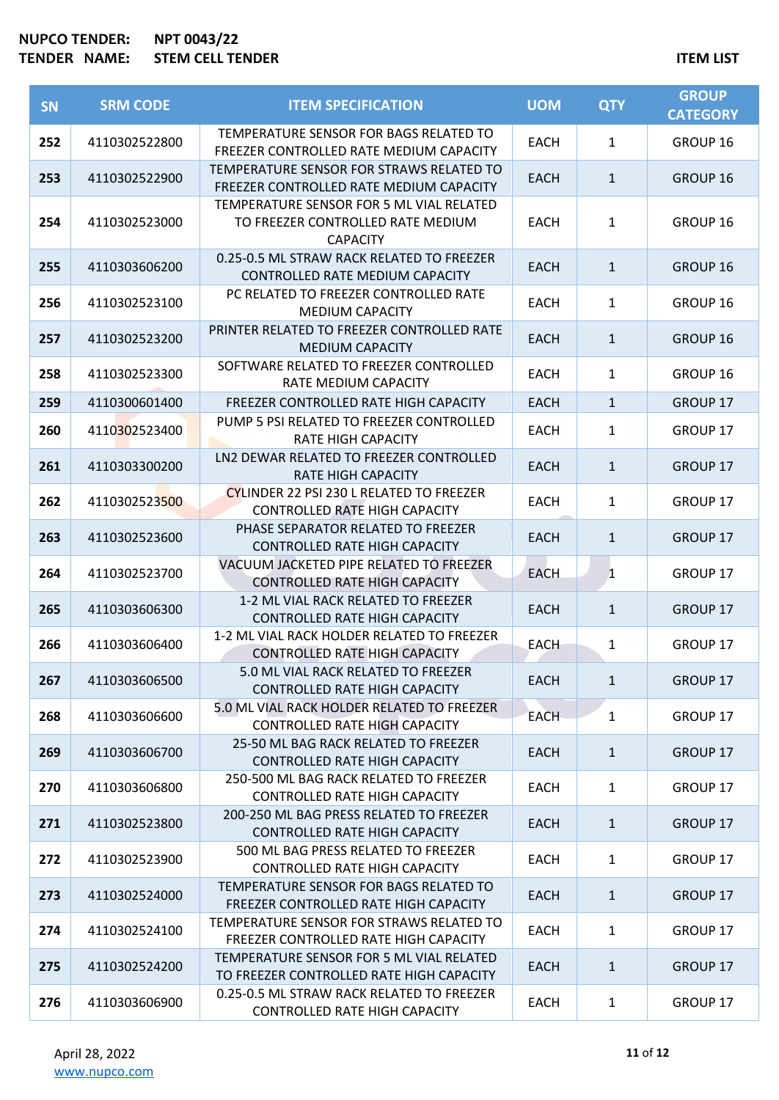| SN  | <b>SRM CODE</b> | <b>ITEM SPECIFICATION</b>                                                                        | <b>UOM</b>  | <b>QTY</b>   | <b>GROUP</b><br><b>CATEGORY</b> |
|-----|-----------------|--------------------------------------------------------------------------------------------------|-------------|--------------|---------------------------------|
| 252 | 4110302522800   | TEMPERATURE SENSOR FOR BAGS RELATED TO<br>FREEZER CONTROLLED RATE MEDIUM CAPACITY                | <b>EACH</b> | $\mathbf{1}$ | GROUP 16                        |
| 253 | 4110302522900   | TEMPERATURE SENSOR FOR STRAWS RELATED TO<br>FREEZER CONTROLLED RATE MEDIUM CAPACITY              | <b>EACH</b> | $\mathbf{1}$ | GROUP 16                        |
| 254 | 4110302523000   | TEMPERATURE SENSOR FOR 5 ML VIAL RELATED<br>TO FREEZER CONTROLLED RATE MEDIUM<br><b>CAPACITY</b> | <b>EACH</b> | 1            | GROUP 16                        |
| 255 | 4110303606200   | 0.25-0.5 ML STRAW RACK RELATED TO FREEZER<br>CONTROLLED RATE MEDIUM CAPACITY                     | <b>EACH</b> | $\mathbf{1}$ | GROUP 16                        |
| 256 | 4110302523100   | PC RELATED TO FREEZER CONTROLLED RATE<br><b>MEDIUM CAPACITY</b>                                  | EACH        | 1            | GROUP 16                        |
| 257 | 4110302523200   | PRINTER RELATED TO FREEZER CONTROLLED RATE<br><b>MEDIUM CAPACITY</b>                             | <b>EACH</b> | $\mathbf{1}$ | GROUP 16                        |
| 258 | 4110302523300   | SOFTWARE RELATED TO FREEZER CONTROLLED<br>RATE MEDIUM CAPACITY                                   | <b>EACH</b> | $\mathbf{1}$ | GROUP 16                        |
| 259 | 4110300601400   | FREEZER CONTROLLED RATE HIGH CAPACITY                                                            | <b>EACH</b> | $\mathbf{1}$ | <b>GROUP 17</b>                 |
| 260 | 4110302523400   | PUMP 5 PSI RELATED TO FREEZER CONTROLLED<br><b>RATE HIGH CAPACITY</b>                            | <b>EACH</b> | 1            | GROUP 17                        |
| 261 | 4110303300200   | LN2 DEWAR RELATED TO FREEZER CONTROLLED<br><b>RATE HIGH CAPACITY</b>                             | <b>EACH</b> | $\mathbf{1}$ | <b>GROUP 17</b>                 |
| 262 | 4110302523500   | CYLINDER 22 PSI 230 L RELATED TO FREEZER<br>CONTROLLED RATE HIGH CAPACITY                        | <b>EACH</b> | $\mathbf{1}$ | GROUP 17                        |
| 263 | 4110302523600   | PHASE SEPARATOR RELATED TO FREEZER<br><b>CONTROLLED RATE HIGH CAPACITY</b>                       | <b>EACH</b> | $\mathbf{1}$ | <b>GROUP 17</b>                 |
| 264 | 4110302523700   | VACUUM JACKETED PIPE RELATED TO FREEZER<br><b>CONTROLLED RATE HIGH CAPACITY</b>                  | <b>EACH</b> | 1            | GROUP 17                        |
| 265 | 4110303606300   | 1-2 ML VIAL RACK RELATED TO FREEZER<br><b>CONTROLLED RATE HIGH CAPACITY</b>                      | <b>EACH</b> | $\mathbf{1}$ | GROUP 17                        |
| 266 | 4110303606400   | 1-2 ML VIAL RACK HOLDER RELATED TO FREEZER<br><b>CONTROLLED RATE HIGH CAPACITY</b>               | <b>EACH</b> | 1            | <b>GROUP 17</b>                 |
| 267 | 4110303606500   | 5.0 ML VIAL RACK RELATED TO FREEZER<br><b>CONTROLLED RATE HIGH CAPACITY</b>                      | <b>EACH</b> | $\mathbf{1}$ | GROUP 17                        |
| 268 | 4110303606600   | 5.0 ML VIAL RACK HOLDER RELATED TO FREEZER<br><b>CONTROLLED RATE HIGH CAPACITY</b>               | <b>EACH</b> | $\mathbf{1}$ | GROUP 17                        |
| 269 | 4110303606700   | 25-50 ML BAG RACK RELATED TO FREEZER<br><b>CONTROLLED RATE HIGH CAPACITY</b>                     | <b>EACH</b> | $\mathbf{1}$ | GROUP 17                        |
| 270 | 4110303606800   | 250-500 ML BAG RACK RELATED TO FREEZER<br><b>CONTROLLED RATE HIGH CAPACITY</b>                   | <b>EACH</b> | $\mathbf{1}$ | GROUP 17                        |
| 271 | 4110302523800   | 200-250 ML BAG PRESS RELATED TO FREEZER<br><b>CONTROLLED RATE HIGH CAPACITY</b>                  | EACH        | $\mathbf{1}$ | GROUP 17                        |
| 272 | 4110302523900   | 500 ML BAG PRESS RELATED TO FREEZER<br><b>CONTROLLED RATE HIGH CAPACITY</b>                      | EACH        | 1            | GROUP 17                        |
| 273 | 4110302524000   | TEMPERATURE SENSOR FOR BAGS RELATED TO<br>FREEZER CONTROLLED RATE HIGH CAPACITY                  | <b>EACH</b> | $\mathbf{1}$ | GROUP 17                        |
| 274 | 4110302524100   | TEMPERATURE SENSOR FOR STRAWS RELATED TO<br>FREEZER CONTROLLED RATE HIGH CAPACITY                | <b>EACH</b> | $\mathbf{1}$ | GROUP 17                        |
| 275 | 4110302524200   | TEMPERATURE SENSOR FOR 5 ML VIAL RELATED<br>TO FREEZER CONTROLLED RATE HIGH CAPACITY             | EACH        | $\mathbf{1}$ | GROUP 17                        |
| 276 | 4110303606900   | 0.25-0.5 ML STRAW RACK RELATED TO FREEZER<br><b>CONTROLLED RATE HIGH CAPACITY</b>                | EACH        | 1            | GROUP 17                        |